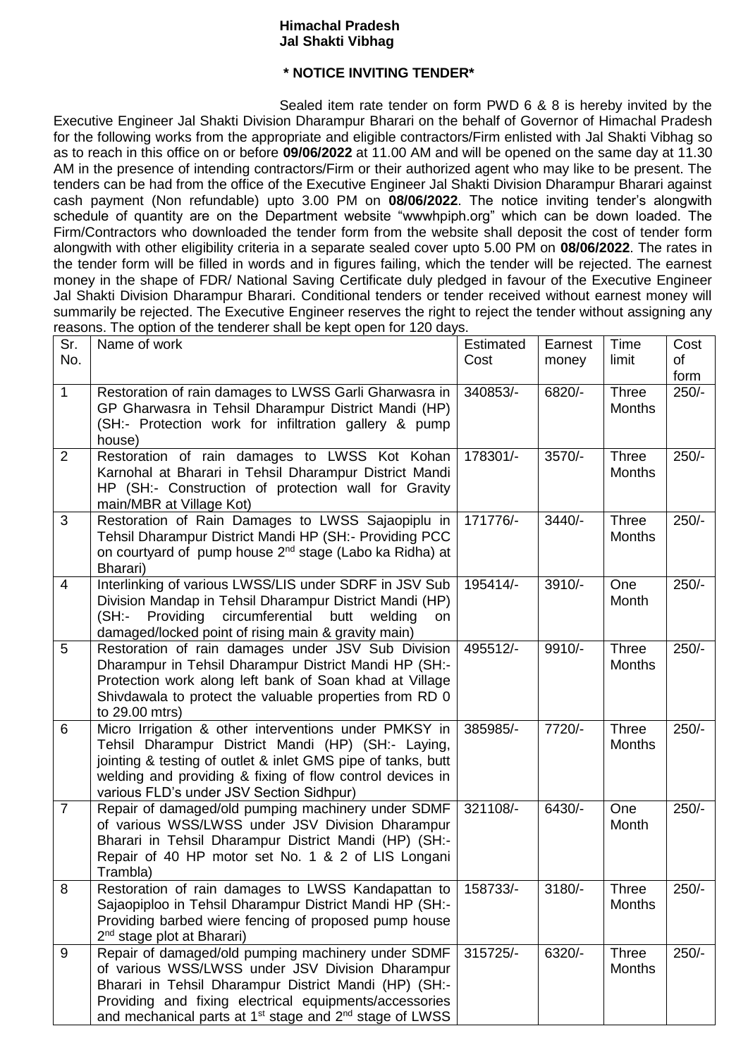## **Himachal Pradesh Jal Shakti Vibhag**

## **\* NOTICE INVITING TENDER\***

Sealed item rate tender on form PWD 6 & 8 is hereby invited by the Executive Engineer Jal Shakti Division Dharampur Bharari on the behalf of Governor of Himachal Pradesh for the following works from the appropriate and eligible contractors/Firm enlisted with Jal Shakti Vibhag so as to reach in this office on or before **09/06/2022** at 11.00 AM and will be opened on the same day at 11.30 AM in the presence of intending contractors/Firm or their authorized agent who may like to be present. The tenders can be had from the office of the Executive Engineer Jal Shakti Division Dharampur Bharari against cash payment (Non refundable) upto 3.00 PM on **08/06/2022**. The notice inviting tender's alongwith schedule of quantity are on the Department website "wwwhpiph.org" which can be down loaded. The Firm/Contractors who downloaded the tender form from the website shall deposit the cost of tender form alongwith with other eligibility criteria in a separate sealed cover upto 5.00 PM on **08/06/2022**. The rates in the tender form will be filled in words and in figures failing, which the tender will be rejected. The earnest money in the shape of FDR/ National Saving Certificate duly pledged in favour of the Executive Engineer Jal Shakti Division Dharampur Bharari. Conditional tenders or tender received without earnest money will summarily be rejected. The Executive Engineer reserves the right to reject the tender without assigning any reasons. The option of the tenderer shall be kept open for 120 days.

| Sr.            | $\alpha$ about the option of the tenderer end looked hopt open for the day<br>Name of work                                                                                                                                                                                                                   | Estimated | Earnest  | Time                          | Cost       |
|----------------|--------------------------------------------------------------------------------------------------------------------------------------------------------------------------------------------------------------------------------------------------------------------------------------------------------------|-----------|----------|-------------------------------|------------|
| No.            |                                                                                                                                                                                                                                                                                                              | Cost      | money    | limit                         | of<br>form |
| $\mathbf{1}$   | Restoration of rain damages to LWSS Garli Gharwasra in<br>GP Gharwasra in Tehsil Dharampur District Mandi (HP)<br>(SH:- Protection work for infiltration gallery & pump<br>house)                                                                                                                            | 340853/-  | 6820/-   | Three<br><b>Months</b>        | $250/-$    |
| $\overline{2}$ | Restoration of rain damages to LWSS Kot Kohan<br>Karnohal at Bharari in Tehsil Dharampur District Mandi<br>HP (SH:- Construction of protection wall for Gravity<br>main/MBR at Village Kot)                                                                                                                  | 178301/-  | 3570/-   | Three<br><b>Months</b>        | $250/-$    |
| 3              | Restoration of Rain Damages to LWSS Sajaopiplu in<br>Tehsil Dharampur District Mandi HP (SH:- Providing PCC<br>on courtyard of pump house 2 <sup>nd</sup> stage (Labo ka Ridha) at<br>Bharari)                                                                                                               | 171776/-  | $3440/-$ | Three<br><b>Months</b>        | $250/-$    |
| $\overline{4}$ | Interlinking of various LWSS/LIS under SDRF in JSV Sub<br>Division Mandap in Tehsil Dharampur District Mandi (HP)<br>Providing circumferential<br>(SH:-<br>butt<br>welding<br>on<br>damaged/locked point of rising main & gravity main)                                                                      | 195414/-  | 3910/-   | One<br>Month                  | $250/-$    |
| 5              | Restoration of rain damages under JSV Sub Division<br>Dharampur in Tehsil Dharampur District Mandi HP (SH:-<br>Protection work along left bank of Soan khad at Village<br>Shivdawala to protect the valuable properties from RD 0<br>to 29.00 mtrs)                                                          | 495512/-  | 9910/-   | Three<br><b>Months</b>        | $250/-$    |
| 6              | Micro Irrigation & other interventions under PMKSY in<br>Tehsil Dharampur District Mandi (HP) (SH:- Laying,<br>jointing & testing of outlet & inlet GMS pipe of tanks, butt<br>welding and providing & fixing of flow control devices in<br>various FLD's under JSV Section Sidhpur)                         | 385985/-  | 7720/-   | Three<br><b>Months</b>        | $250/-$    |
| $\overline{7}$ | Repair of damaged/old pumping machinery under SDMF<br>of various WSS/LWSS under JSV Division Dharampur<br>Bharari in Tehsil Dharampur District Mandi (HP) (SH:-<br>Repair of 40 HP motor set No. 1 & 2 of LIS Longani<br>Trambla)                                                                            | 321108/-  | 6430/-   | One<br>Month                  | $250/-$    |
| 8              | Restoration of rain damages to LWSS Kandapattan to<br>Sajaopiploo in Tehsil Dharampur District Mandi HP (SH:-<br>Providing barbed wiere fencing of proposed pump house<br>2 <sup>nd</sup> stage plot at Bharari)                                                                                             | 158733/-  | $3180/-$ | <b>Three</b><br><b>Months</b> | $250/-$    |
| 9              | Repair of damaged/old pumping machinery under SDMF<br>of various WSS/LWSS under JSV Division Dharampur<br>Bharari in Tehsil Dharampur District Mandi (HP) (SH:-<br>Providing and fixing electrical equipments/accessories<br>and mechanical parts at 1 <sup>st</sup> stage and 2 <sup>nd</sup> stage of LWSS | 315725/-  | 6320/-   | <b>Three</b><br>Months        | $250/-$    |